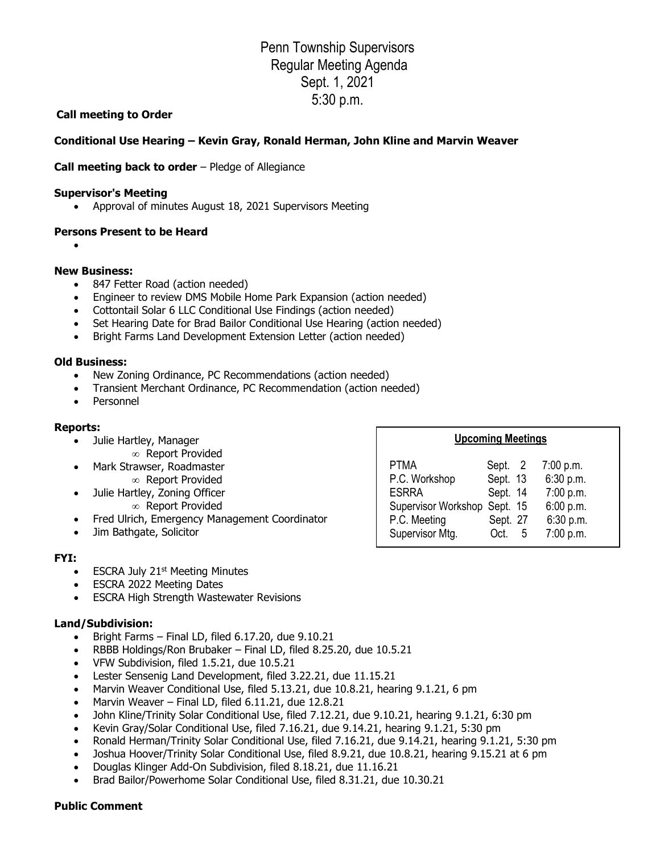# Penn Township Supervisors Regular Meeting Agenda Sept. 1, 2021 5:30 p.m.

## **Call meeting to Order**

## **Conditional Use Hearing – Kevin Gray, Ronald Herman, John Kline and Marvin Weaver**

## **Call meeting back to order** – Pledge of Allegiance

#### **Supervisor's Meeting**

• Approval of minutes August 18, 2021 Supervisors Meeting

#### **Persons Present to be Heard**

•

#### **New Business:**

- 847 Fetter Road (action needed)
- Engineer to review DMS Mobile Home Park Expansion (action needed)
- Cottontail Solar 6 LLC Conditional Use Findings (action needed)
- Set Hearing Date for Brad Bailor Conditional Use Hearing (action needed)
- Bright Farms Land Development Extension Letter (action needed)

#### **Old Business:**

- New Zoning Ordinance, PC Recommendations (action needed)
- Transient Merchant Ordinance, PC Recommendation (action needed)
- Personnel

#### **Reports:**

- Julie Hartley, Manager
	- Report Provided
- Mark Strawser, Roadmaster Report Provided
- Julie Hartley, Zoning Officer  $\infty$  Report Provided
- Fred Ulrich, Emergency Management Coordinator
- Jim Bathgate, Solicitor

#### **FYI:**

- ESCRA July  $21<sup>st</sup>$  Meeting Minutes
- ESCRA 2022 Meeting Dates
- ESCRA High Strength Wastewater Revisions

## **Land/Subdivision:**

- Bright Farms Final LD, filed 6.17.20, due 9.10.21
- RBBB Holdings/Ron Brubaker Final LD, filed 8.25.20, due 10.5.21
- VFW Subdivision, filed 1.5.21, due 10.5.21
- Lester Sensenig Land Development, filed 3.22.21, due 11.15.21
- Marvin Weaver Conditional Use, filed 5.13.21, due 10.8.21, hearing 9.1.21, 6 pm
- Marvin Weaver Final LD, filed 6.11.21, due 12.8.21
- John Kline/Trinity Solar Conditional Use, filed 7.12.21, due 9.10.21, hearing 9.1.21, 6:30 pm
- Kevin Gray/Solar Conditional Use, filed 7.16.21, due 9.14.21, hearing 9.1.21, 5:30 pm
- Ronald Herman/Trinity Solar Conditional Use, filed 7.16.21, due 9.14.21, hearing 9.1.21, 5:30 pm
- Joshua Hoover/Trinity Solar Conditional Use, filed 8.9.21, due 10.8.21, hearing 9.15.21 at 6 pm
- Douglas Klinger Add-On Subdivision, filed 8.18.21, due 11.16.21
- Brad Bailor/Powerhome Solar Conditional Use, filed 8.31.21, due 10.30.21

## **Public Comment**

| <b>Upcoming Meetings</b>                                                                                                                                               |                                                                                   |
|------------------------------------------------------------------------------------------------------------------------------------------------------------------------|-----------------------------------------------------------------------------------|
| <b>PTMA</b><br>Sept. 2<br>P.C. Workshop<br>Sept. 13<br>Sept. 14<br><b>ESRRA</b><br>Supervisor Workshop Sept. 15<br>P.C. Meeting<br>Sept. 27<br>Supervisor Mtg.<br>Oct. | 7:00 p.m.<br>6:30 p.m.<br>7:00 p.m.<br>6:00 p.m.<br>6:30 p.m.<br>7:00 p.m.<br>- 5 |